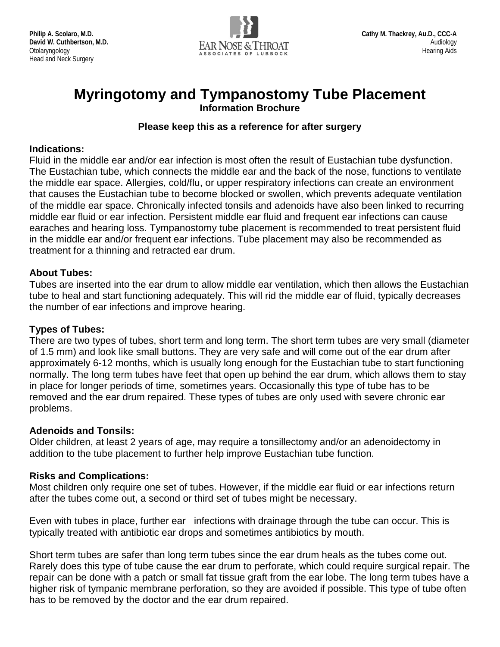

# **Myringotomy and Tympanostomy Tube Placement Information Brochure**

## **Please keep this as a reference for after surgery**

#### **Indications:**

Fluid in the middle ear and/or ear infection is most often the result of Eustachian tube dysfunction. The Eustachian tube, which connects the middle ear and the back of the nose, functions to ventilate the middle ear space. Allergies, cold/flu, or upper respiratory infections can create an environment that causes the Eustachian tube to become blocked or swollen, which prevents adequate ventilation of the middle ear space. Chronically infected tonsils and adenoids have also been linked to recurring middle ear fluid or ear infection. Persistent middle ear fluid and frequent ear infections can cause earaches and hearing loss. Tympanostomy tube placement is recommended to treat persistent fluid in the middle ear and/or frequent ear infections. Tube placement may also be recommended as treatment for a thinning and retracted ear drum.

#### **About Tubes:**

Tubes are inserted into the ear drum to allow middle ear ventilation, which then allows the Eustachian tube to heal and start functioning adequately. This will rid the middle ear of fluid, typically decreases the number of ear infections and improve hearing.

#### **Types of Tubes:**

There are two types of tubes, short term and long term. The short term tubes are very small (diameter of 1.5 mm) and look like small buttons. They are very safe and will come out of the ear drum after approximately 6-12 months, which is usually long enough for the Eustachian tube to start functioning normally. The long term tubes have feet that open up behind the ear drum, which allows them to stay in place for longer periods of time, sometimes years. Occasionally this type of tube has to be removed and the ear drum repaired. These types of tubes are only used with severe chronic ear problems.

#### **Adenoids and Tonsils:**

Older children, at least 2 years of age, may require a tonsillectomy and/or an adenoidectomy in addition to the tube placement to further help improve Eustachian tube function.

#### **Risks and Complications:**

Most children only require one set of tubes. However, if the middle ear fluid or ear infections return after the tubes come out, a second or third set of tubes might be necessary.

Even with tubes in place, further ear infections with drainage through the tube can occur. This is typically treated with antibiotic ear drops and sometimes antibiotics by mouth.

Short term tubes are safer than long term tubes since the ear drum heals as the tubes come out. Rarely does this type of tube cause the ear drum to perforate, which could require surgical repair. The repair can be done with a patch or small fat tissue graft from the ear lobe. The long term tubes have a higher risk of tympanic membrane perforation, so they are avoided if possible. This type of tube often has to be removed by the doctor and the ear drum repaired.